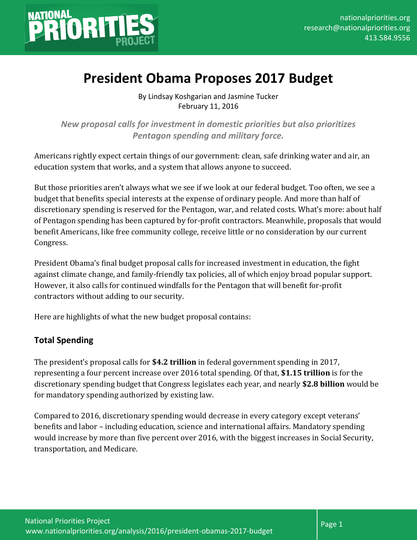

# **President Obama Proposes 2017 Budget**

By Lindsay Koshgarian and Jasmine Tucker February 11, 2016

*New proposal calls for investment in domestic priorities but also prioritizes Pentagon spending and military force.*

Americans rightly expect certain things of our government: clean, safe drinking water and air, an education system that works, and a system that allows anyone to succeed.

But those priorities aren't always what we see if we look at our federal budget. Too often, we see a budget that benefits special interests at the expense of ordinary people. And more than half of discretionary spending is reserved for the Pentagon, war, and related costs. What's more: about half of Pentagon spending has been captured by for-profit contractors. Meanwhile, proposals that would benefit Americans, like free community college, receive little or no consideration by our current Congress.

President Obama's final budget proposal calls for increased investment in education, the fight against climate change, and family-friendly tax policies, all of which enjoy broad popular support. However, it also calls for continued windfalls for the Pentagon that will benefit for-profit contractors without adding to our security.

Here are highlights of what the new budget proposal contains:

# **Total Spending**

The president's proposal calls for **\$4.2 trillion** in federal government spending in 2017, representing a four percent increase over 2016 total spending. Of that, **\$1.15 trillion** is for the discretionary spending budget that Congress legislates each year, and nearly **\$2.8 billion** would be for mandatory spending authorized by existing law.

Compared to 2016, discretionary spending would decrease in every category except veterans' benefits and labor – including education, science and international affairs. Mandatory spending would increase by more than five percent over 2016, with the biggest increases in Social Security, transportation, and Medicare.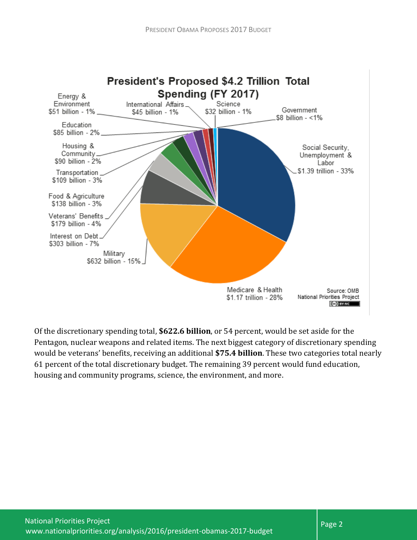

Of the discretionary spending total, **\$622.6 billion**, or 54 percent, would be set aside for the Pentagon, nuclear weapons and related items. The next biggest category of discretionary spending would be veterans' benefits, receiving an additional **\$75.4 billion**. These two categories total nearly 61 percent of the total discretionary budget. The remaining 39 percent would fund education, housing and community programs, science, the environment, and more.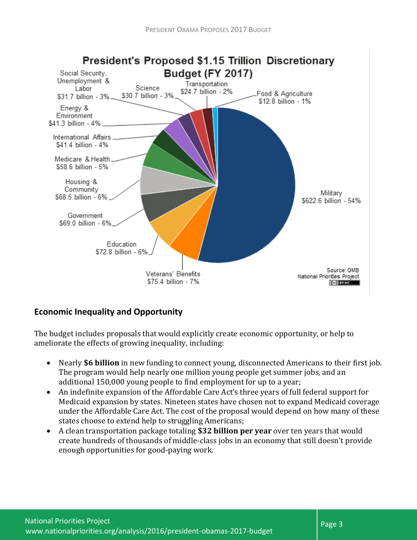

# **Economic Inequality and Opportunity**

The budget includes proposals that would explicitly create economic opportunity, or help to ameliorate the effects of growing inequality, including:

- Nearly **\$6 billion** in new funding to connect young, disconnected Americans to their first job. The program would help nearly one million young people get summer jobs, and an additional 150,000 young people to find employment for up to a year;
- An indefinite expansion of the Affordable Care Act's three years of full federal support for Medicaid expansion by states. Nineteen states have chosen not to expand Medicaid coverage under the Affordable Care Act. The cost of the proposal would depend on how many of these states choose to extend help to struggling Americans;
- A clean transportation package totaling **\$32 billion per year** over ten years that would create hundreds of thousands of middle-class jobs in an economy that still doesn't provide enough opportunities for good-paying work.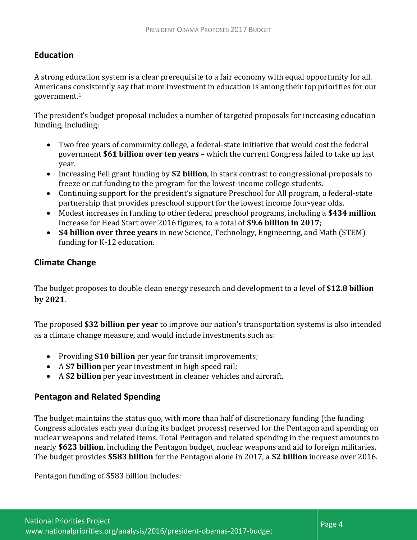### **Education**

A strong education system is a clear prerequisite to a fair economy with equal opportunity for all. Americans consistently say that more investment in education is among their top priorities for our government.<sup>1</sup>

The president's budget proposal includes a number of targeted proposals for increasing education funding, including:

- Two free years of community college, a federal-state initiative that would cost the federal government **\$61 billion over ten years** – which the current Congress failed to take up last year.
- Increasing Pell grant funding by **\$2 billion**, in stark contrast to congressional proposals to freeze or cut funding to the program for the lowest-income college students.
- Continuing support for the president's signature Preschool for All program, a federal-state partnership that provides preschool support for the lowest income four-year olds.
- Modest increases in funding to other federal preschool programs, including a **\$434 million** increase for Head Start over 2016 figures, to a total of **\$9.6 billion in 2017**;
- **\$4 billion over three years** in new Science, Technology, Engineering, and Math (STEM) funding for K-12 education.

#### **Climate Change**

The budget proposes to double clean energy research and development to a level of **\$12.8 billion by 2021**.

The proposed **\$32 billion per year** to improve our nation's transportation systems is also intended as a climate change measure, and would include investments such as:

- Providing \$10 billion per year for transit improvements;
- A **\$7 billion** per year investment in high speed rail;
- A **\$2 billion** per year investment in cleaner vehicles and aircraft.

# **Pentagon and Related Spending**

The budget maintains the status quo, with more than half of discretionary funding (the funding Congress allocates each year during its budget process) reserved for the Pentagon and spending on nuclear weapons and related items. Total Pentagon and related spending in the request amounts to nearly **\$623 billion**, including the Pentagon budget, nuclear weapons and aid to foreign militaries. The budget provides **\$583 billion** for the Pentagon alone in 2017, a **\$2 billion** increase over 2016.

Pentagon funding of \$583 billion includes: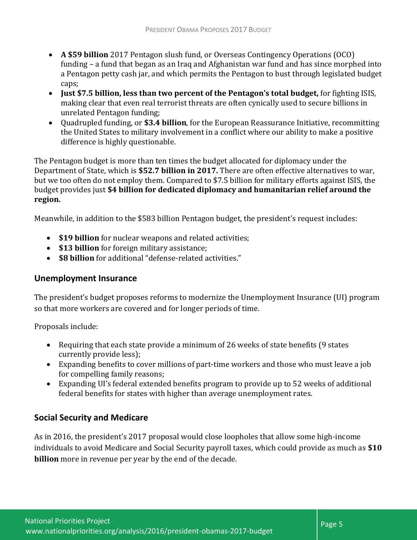- **A \$59 billion** 2017 Pentagon slush fund, or Overseas Contingency Operations (OCO) funding – a fund that began as an Iraq and Afghanistan war fund and has since morphed into a Pentagon petty cash jar, and which permits the Pentagon to bust through legislated budget caps:
- **Just \$7.5 billion, less than two percent of the Pentagon's total budget,** for fighting ISIS, making clear that even real terrorist threats are often cynically used to secure billions in unrelated Pentagon funding;
- Quadrupled funding, or **\$3.4 billion**, for the European Reassurance Initiative, recommitting the United States to military involvement in a conflict where our ability to make a positive difference is highly questionable.

The Pentagon budget is more than ten times the budget allocated for diplomacy under the Department of State, which is **\$52.7 billion in 2017.** There are often effective alternatives to war, but we too often do not employ them. Compared to \$7.5 billion for military efforts against ISIS, the budget provides just **\$4 billion for dedicated diplomacy and humanitarian relief around the region.** 

Meanwhile, in addition to the \$583 billion Pentagon budget, the president's request includes:

- **\$19 billion** for nuclear weapons and related activities;
- **\$13 billion** for foreign military assistance;
- **\$8 billion** for additional "defense-related activities."

#### **Unemployment Insurance**

The president's budget proposes reforms to modernize the Unemployment Insurance (UI) program so that more workers are covered and for longer periods of time.

Proposals include:

- Requiring that each state provide a minimum of 26 weeks of state benefits (9 states currently provide less);
- Expanding benefits to cover millions of part-time workers and those who must leave a job for compelling family reasons;
- Expanding UI's federal extended benefits program to provide up to 52 weeks of additional federal benefits for states with higher than average unemployment rates.

#### **Social Security and Medicare**

As in 2016, the president's 2017 proposal would close loopholes that allow some high-income individuals to avoid Medicare and Social Security payroll taxes, which could provide as much as **\$10 billion** more in revenue per year by the end of the decade.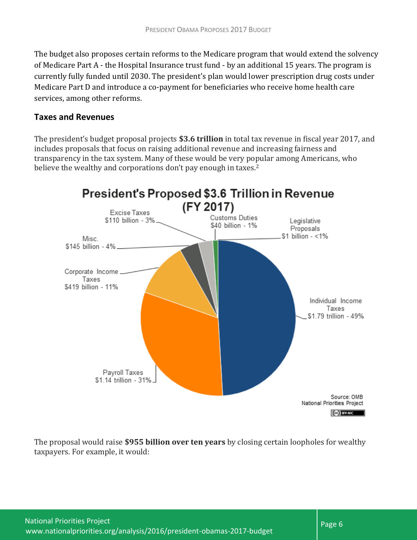The budget also proposes certain reforms to the Medicare program that would extend the solvency of Medicare Part A - the Hospital Insurance trust fund - by an additional 15 years. The program is currently fully funded until 2030. The president's plan would lower prescription drug costs under Medicare Part D and introduce a co-payment for beneficiaries who receive home health care services, among other reforms.

#### **Taxes and Revenues**

The president's budget proposal projects **\$3.6 trillion** in total tax revenue in fiscal year 2017, and includes proposals that focus on raising additional revenue and increasing fairness and transparency in the tax system. Many of these would be very popular among Americans, who believe the wealthy and corporations don't pay enough in taxes.<sup>2</sup>



The proposal would raise **\$955 billion over ten years** by closing certain loopholes for wealthy taxpayers. For example, it would: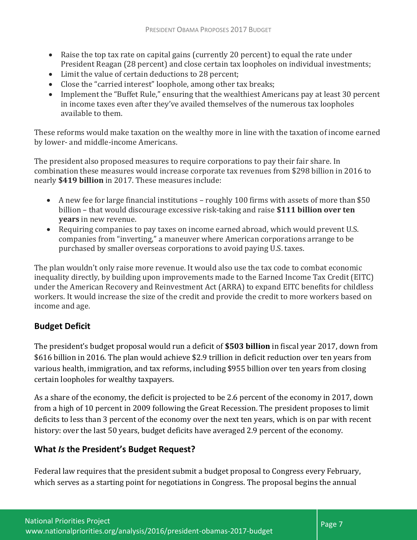- Raise the top tax rate on capital gains (currently 20 percent) to equal the rate under President Reagan (28 percent) and close certain tax loopholes on individual investments;
- Limit the value of certain deductions to 28 percent;
- Close the "carried interest" loophole, among other tax breaks;
- Implement the "Buffet Rule," ensuring that the wealthiest Americans pay at least 30 percent in income taxes even after they've availed themselves of the numerous tax loopholes available to them.

These reforms would make taxation on the wealthy more in line with the taxation of income earned by lower- and middle-income Americans.

The president also proposed measures to require corporations to pay their fair share. In combination these measures would increase corporate tax revenues from \$298 billion in 2016 to nearly **\$419 billion** in 2017. These measures include:

- A new fee for large financial institutions roughly 100 firms with assets of more than \$50 billion – that would discourage excessive risk-taking and raise **\$111 billion over ten years** in new revenue.
- Requiring companies to pay taxes on income earned abroad, which would prevent U.S. companies from "inverting," a maneuver where American corporations arrange to be purchased by smaller overseas corporations to avoid paying U.S. taxes.

The plan wouldn't only raise more revenue. It would also use the tax code to combat economic inequality directly, by building upon improvements made to the Earned Income Tax Credit (EITC) under the American Recovery and Reinvestment Act (ARRA) to expand EITC benefits for childless workers. It would increase the size of the credit and provide the credit to more workers based on income and age.

# **Budget Deficit**

The president's budget proposal would run a deficit of **\$503 billion** in fiscal year 2017, down from \$616 billion in 2016. The plan would achieve \$2.9 trillion in deficit reduction over ten years from various health, immigration, and tax reforms, including \$955 billion over ten years from closing certain loopholes for wealthy taxpayers.

As a share of the economy, the deficit is projected to be 2.6 percent of the economy in 2017, down from a high of 10 percent in 2009 following the Great Recession. The president proposes to limit deficits to less than 3 percent of the economy over the next ten years, which is on par with recent history: over the last 50 years, budget deficits have averaged 2.9 percent of the economy.

# **What** *Is* **the President's Budget Request?**

Federal law requires that the president submit a budget proposal to Congress every February, which serves as a starting point for negotiations in Congress. The proposal begins the annual